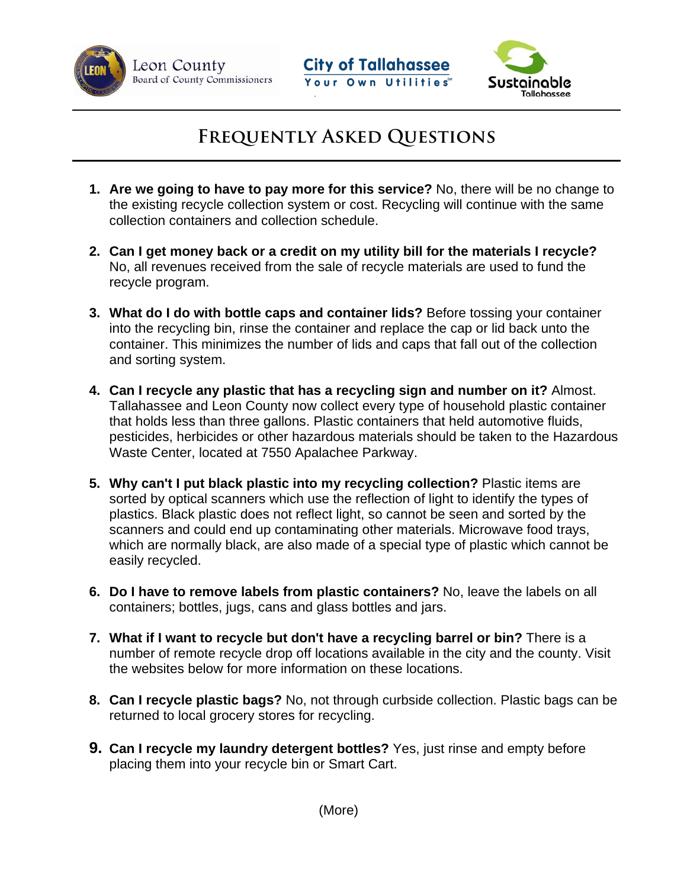

Leon County Board of County Commissioners





## **Frequently Asked Questions**

- collection containers and collection schedule. **1. Are we going to have to pay more for this service?** No, there will be no change to the existing recycle collection system or cost. Recycling will continue with the same
- **2. Can I get money back or a credit on my utility bill for the materials I recycle?** No, all revenues received from the sale of recycle materials are used to fund the recycle program.
- **3. What do I do with bottle caps and container lids?** Before tossing your container into the recycling bin, rinse the container and replace the cap or lid back unto the container. This minimizes the number of lids and caps that fall out of the collection and sorting system.
- **4. Can I recycle any plastic that has a recycling sign and number on it?** Almost. Tallahassee and Leon County now collect every type of household plastic container that holds less than three gallons. Plastic containers that held automotive fluids, pesticides, herbicides or other hazardous materials should be taken to the Hazardous Waste Center, located at 7550 Apalachee Parkway.
- **5. Why can't I put black plastic into my recycling collection?** Plastic items are sorted by optical scanners which use the reflection of light to identify the types of plastics. Black plastic does not reflect light, so cannot be seen and sorted by the scanners and could end up contaminating other materials. Microwave food trays, which are normally black, are also made of a special type of plastic which cannot be easily recycled.
- **6. Do I have to remove labels from plastic containers?** No, leave the labels on all containers; bottles, jugs, cans and glass bottles and jars.
- **7. What if I want to recycle but don't have a recycling barrel or bin?** There is a number of remote recycle drop off locations available in the city and the county. Visit the websites below for more information on these locations.
- **8. Can I recycle plastic bags?** No, not through curbside collection. Plastic bags can be returned to local grocery stores for recycling.
- **9. Can I recycle my laundry detergent bottles?** Yes, just rinse and empty before placing them into your recycle bin or Smart Cart.